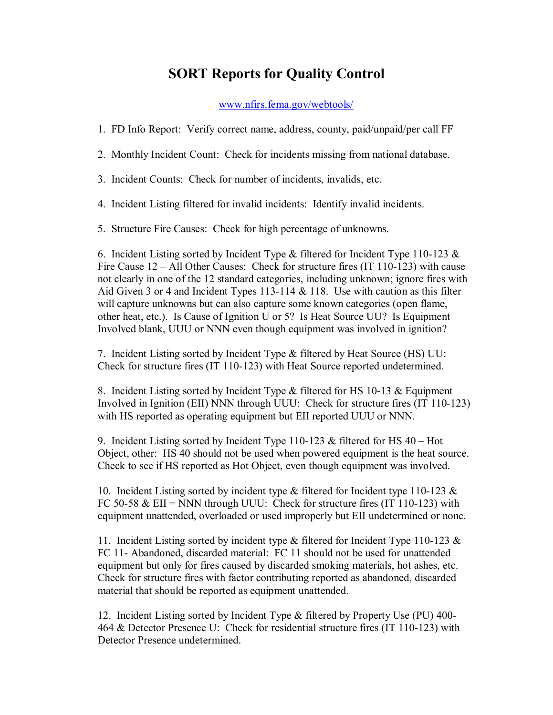## **SORT Reports for Quality Control**

## [www.nfirs.fema.gov/webtools/](http://www.nfirs.fema.gov/webtools/)

1. FD Info Report: Verify correct name, address, county, paid/unpaid/per call FF

2. Monthly Incident Count: Check for incidents missing from national database.

3. Incident Counts: Check for number of incidents, invalids, etc.

4. Incident Listing filtered for invalid incidents: Identify invalid incidents.

5. Structure Fire Causes: Check for high percentage of unknowns.

6. Incident Listing sorted by Incident Type  $\&$  filtered for Incident Type 110-123  $\&$ Fire Cause  $12 - All Other Causes$ : Check for structure fires (IT 110-123) with cause not clearly in one of the 12 standard categories, including unknown; ignore fires with Aid Given 3 or 4 and Incident Types 113-114  $&$  118. Use with caution as this filter will capture unknowns but can also capture some known categories (open flame, other heat, etc.). Is Cause of Ignition U or 5? Is Heat Source UU? Is Equipment Involved blank, UUU or NNN even though equipment was involved in ignition?

7. Incident Listing sorted by Incident Type & filtered by Heat Source (HS) UU: Check for structure fires (IT 110-123) with Heat Source reported undetermined.

8. Incident Listing sorted by Incident Type  $&$  filtered for HS 10-13  $&$  Equipment Involved in Ignition (EII) NNN through UUU: Check for structure fires (IT 110-123) with HS reported as operating equipment but EII reported UUU or NNN.

9. Incident Listing sorted by Incident Type 110-123  $&$  filtered for HS 40 – Hot Object, other: HS 40 should not be used when powered equipment is the heat source. Check to see if HS reported as Hot Object, even though equipment was involved.

10. Incident Listing sorted by incident type  $\&$  filtered for Incident type 110-123  $\&$ FC 50-58 & EII = NNN through UUU: Check for structure fires (IT 110-123) with equipment unattended, overloaded or used improperly but EII undetermined or none.

11. Incident Listing sorted by incident type  $\&$  filtered for Incident Type 110-123  $\&$ FC 11 Abandoned, discarded material: FC 11 should not be used for unattended equipment but only for fires caused by discarded smoking materials, hot ashes, etc. Check for structure fires with factor contributing reported as abandoned, discarded material that should be reported as equipment unattended.

12. Incident Listing sorted by Incident Type & filtered by Property Use (PU) 400 464 & Detector Presence U: Check for residential structure fires  $(IT 110-123)$  with Detector Presence undetermined.